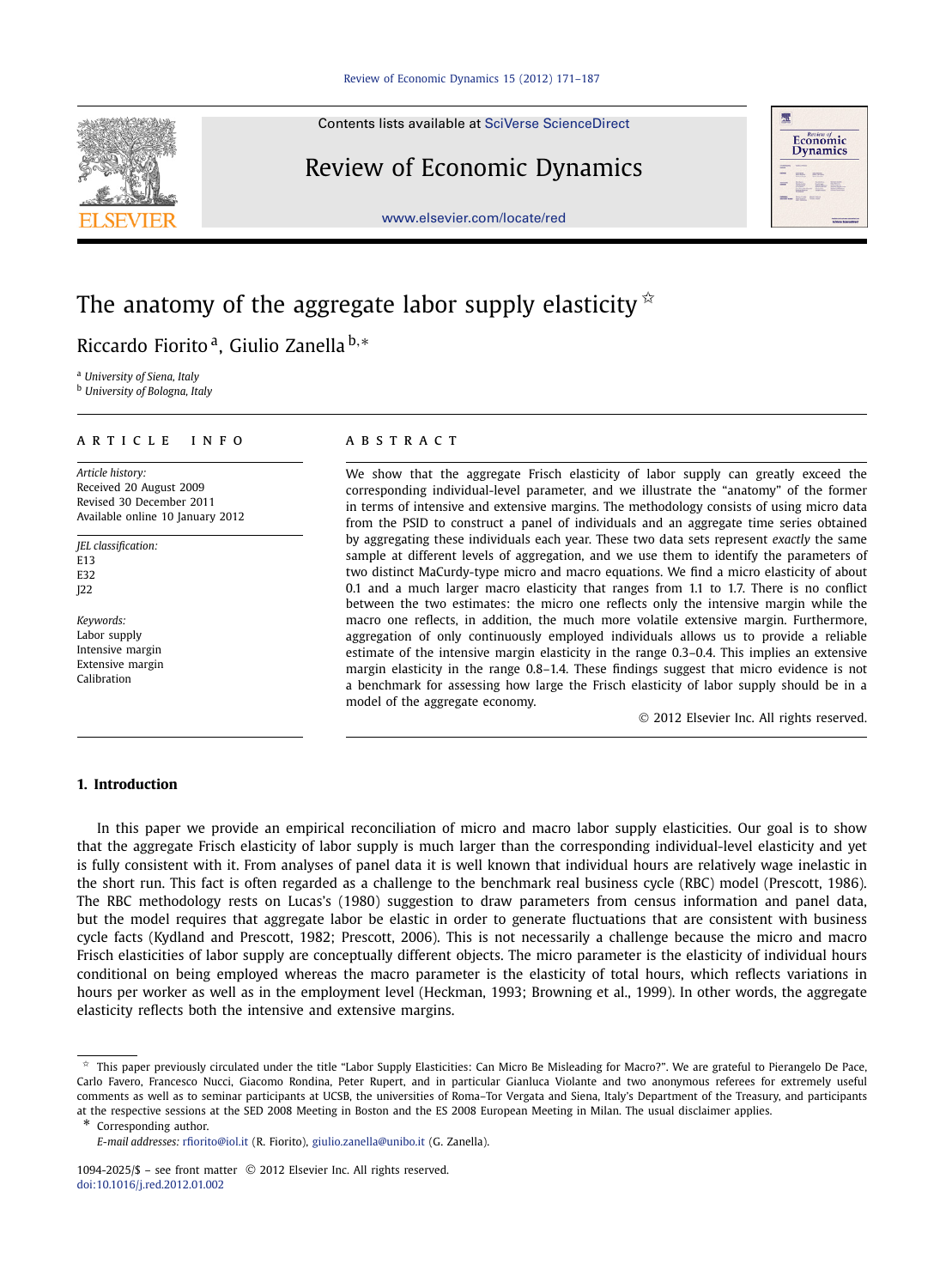Contents lists available at [SciVerse ScienceDirect](http://www.ScienceDirect.com/)

## Review of Economic Dynamics





# The anatomy of the aggregate labor supply elasticity  $\dot{\alpha}$

Riccardo Fiorito a, Giulio Zanella <sup>b</sup>*,*<sup>∗</sup>

<sup>a</sup> *University of Siena, Italy*

<sup>b</sup> *University of Bologna, Italy*

### article info abstract

*Article history:* Received 20 August 2009 Revised 30 December 2011 Available online 10 January 2012

*JEL classification:* E13 E32 J22

*Keywords:* Labor supply Intensive margin Extensive margin Calibration

We show that the aggregate Frisch elasticity of labor supply can greatly exceed the corresponding individual-level parameter, and we illustrate the "anatomy" of the former in terms of intensive and extensive margins. The methodology consists of using micro data from the PSID to construct a panel of individuals and an aggregate time series obtained by aggregating these individuals each year. These two data sets represent *exactly* the same sample at different levels of aggregation, and we use them to identify the parameters of two distinct MaCurdy-type micro and macro equations. We find a micro elasticity of about 0.1 and a much larger macro elasticity that ranges from 1.1 to 1.7. There is no conflict between the two estimates: the micro one reflects only the intensive margin while the macro one reflects, in addition, the much more volatile extensive margin. Furthermore, aggregation of only continuously employed individuals allows us to provide a reliable estimate of the intensive margin elasticity in the range 0.3–0.4. This implies an extensive margin elasticity in the range 0.8–1.4. These findings suggest that micro evidence is not a benchmark for assessing how large the Frisch elasticity of labor supply should be in a model of the aggregate economy.

© 2012 Elsevier Inc. All rights reserved.

### **1. Introduction**

In this paper we provide an empirical reconciliation of micro and macro labor supply elasticities. Our goal is to show that the aggregate Frisch elasticity of labor supply is much larger than the corresponding individual-level elasticity and yet is fully consistent with it. From analyses of panel data it is well known that individual hours are relatively wage inelastic in the short run. This fact is often regarded as a challenge to the benchmark real business cycle (RBC) model (Prescott, 1986). The RBC methodology rests on Lucas's (1980) suggestion to draw parameters from census information and panel data, but the model requires that aggregate labor be elastic in order to generate fluctuations that are consistent with business cycle facts (Kydland and Prescott, 1982; Prescott, 2006). This is not necessarily a challenge because the micro and macro Frisch elasticities of labor supply are conceptually different objects. The micro parameter is the elasticity of individual hours conditional on being employed whereas the macro parameter is the elasticity of total hours, which reflects variations in hours per worker as well as in the employment level (Heckman, 1993; Browning et al., 1999). In other words, the aggregate elasticity reflects both the intensive and extensive margins.

\* Corresponding author.

<sup>✩</sup> This paper previously circulated under the title "Labor Supply Elasticities: Can Micro Be Misleading for Macro?". We are grateful to Pierangelo De Pace, Carlo Favero, Francesco Nucci, Giacomo Rondina, Peter Rupert, and in particular Gianluca Violante and two anonymous referees for extremely useful comments as well as to seminar participants at UCSB, the universities of Roma–Tor Vergata and Siena, Italy's Department of the Treasury, and participants at the respective sessions at the SED 2008 Meeting in Boston and the ES 2008 European Meeting in Milan. The usual disclaimer applies.

*E-mail addresses:* [rfiorito@iol.it](mailto:rfiorito@iol.it) (R. Fiorito), [giulio.zanella@unibo.it](mailto:giulio.zanella@unibo.it) (G. Zanella).

<sup>1094-2025/\$ –</sup> see front matter © 2012 Elsevier Inc. All rights reserved. [doi:10.1016/j.red.2012.01.002](http://dx.doi.org/10.1016/j.red.2012.01.002)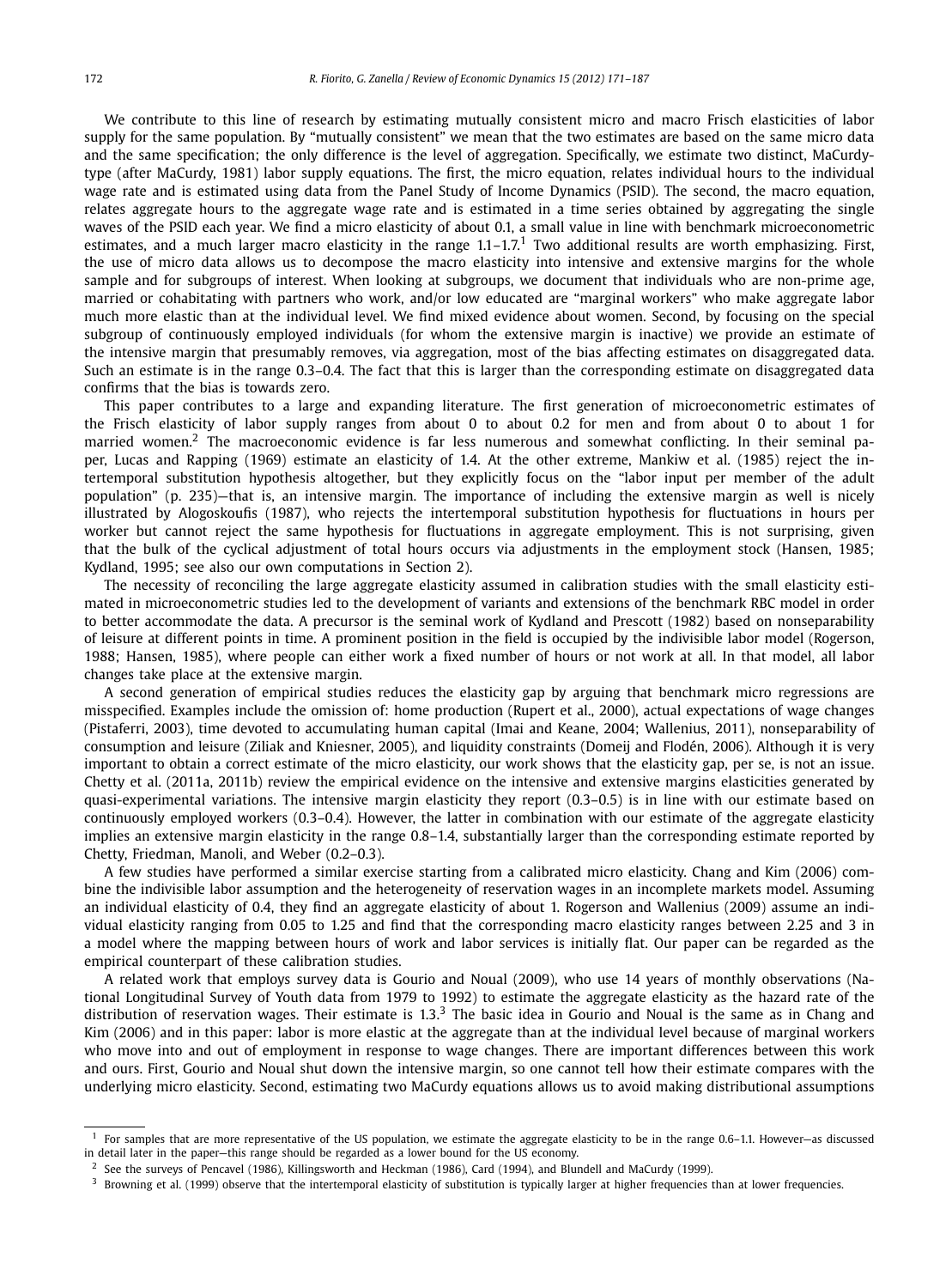We contribute to this line of research by estimating mutually consistent micro and macro Frisch elasticities of labor supply for the same population. By "mutually consistent" we mean that the two estimates are based on the same micro data and the same specification; the only difference is the level of aggregation. Specifically, we estimate two distinct, MaCurdytype (after MaCurdy, 1981) labor supply equations. The first, the micro equation, relates individual hours to the individual wage rate and is estimated using data from the Panel Study of Income Dynamics (PSID). The second, the macro equation, relates aggregate hours to the aggregate wage rate and is estimated in a time series obtained by aggregating the single waves of the PSID each year. We find a micro elasticity of about 0.1, a small value in line with benchmark microeconometric estimates, and a much larger macro elasticity in the range  $1.1-1.7<sup>1</sup>$  Two additional results are worth emphasizing. First, the use of micro data allows us to decompose the macro elasticity into intensive and extensive margins for the whole sample and for subgroups of interest. When looking at subgroups, we document that individuals who are non-prime age, married or cohabitating with partners who work, and/or low educated are "marginal workers" who make aggregate labor much more elastic than at the individual level. We find mixed evidence about women. Second, by focusing on the special subgroup of continuously employed individuals (for whom the extensive margin is inactive) we provide an estimate of the intensive margin that presumably removes, via aggregation, most of the bias affecting estimates on disaggregated data. Such an estimate is in the range 0.3–0.4. The fact that this is larger than the corresponding estimate on disaggregated data confirms that the bias is towards zero.

This paper contributes to a large and expanding literature. The first generation of microeconometric estimates of the Frisch elasticity of labor supply ranges from about 0 to about 0.2 for men and from about 0 to about 1 for married women.<sup>2</sup> The macroeconomic evidence is far less numerous and somewhat conflicting. In their seminal paper, Lucas and Rapping (1969) estimate an elasticity of 1.4. At the other extreme, Mankiw et al. (1985) reject the intertemporal substitution hypothesis altogether, but they explicitly focus on the "labor input per member of the adult population" (p. 235)—that is, an intensive margin. The importance of including the extensive margin as well is nicely illustrated by Alogoskoufis (1987), who rejects the intertemporal substitution hypothesis for fluctuations in hours per worker but cannot reject the same hypothesis for fluctuations in aggregate employment. This is not surprising, given that the bulk of the cyclical adjustment of total hours occurs via adjustments in the employment stock (Hansen, 1985; Kydland, 1995; see also our own computations in Section 2).

The necessity of reconciling the large aggregate elasticity assumed in calibration studies with the small elasticity estimated in microeconometric studies led to the development of variants and extensions of the benchmark RBC model in order to better accommodate the data. A precursor is the seminal work of Kydland and Prescott (1982) based on nonseparability of leisure at different points in time. A prominent position in the field is occupied by the indivisible labor model (Rogerson, 1988; Hansen, 1985), where people can either work a fixed number of hours or not work at all. In that model, all labor changes take place at the extensive margin.

A second generation of empirical studies reduces the elasticity gap by arguing that benchmark micro regressions are misspecified. Examples include the omission of: home production (Rupert et al., 2000), actual expectations of wage changes (Pistaferri, 2003), time devoted to accumulating human capital (Imai and Keane, 2004; Wallenius, 2011), nonseparability of consumption and leisure (Ziliak and Kniesner, 2005), and liquidity constraints (Domeij and Flodén, 2006). Although it is very important to obtain a correct estimate of the micro elasticity, our work shows that the elasticity gap, per se, is not an issue. Chetty et al. (2011a, 2011b) review the empirical evidence on the intensive and extensive margins elasticities generated by quasi-experimental variations. The intensive margin elasticity they report (0.3–0.5) is in line with our estimate based on continuously employed workers (0.3–0.4). However, the latter in combination with our estimate of the aggregate elasticity implies an extensive margin elasticity in the range 0.8–1.4, substantially larger than the corresponding estimate reported by Chetty, Friedman, Manoli, and Weber (0.2–0.3).

A few studies have performed a similar exercise starting from a calibrated micro elasticity. Chang and Kim (2006) combine the indivisible labor assumption and the heterogeneity of reservation wages in an incomplete markets model. Assuming an individual elasticity of 0.4, they find an aggregate elasticity of about 1. Rogerson and Wallenius (2009) assume an individual elasticity ranging from 0.05 to 1.25 and find that the corresponding macro elasticity ranges between 2.25 and 3 in a model where the mapping between hours of work and labor services is initially flat. Our paper can be regarded as the empirical counterpart of these calibration studies.

A related work that employs survey data is Gourio and Noual (2009), who use 14 years of monthly observations (National Longitudinal Survey of Youth data from 1979 to 1992) to estimate the aggregate elasticity as the hazard rate of the distribution of reservation wages. Their estimate is  $1.3<sup>3</sup>$  The basic idea in Gourio and Noual is the same as in Chang and Kim (2006) and in this paper: labor is more elastic at the aggregate than at the individual level because of marginal workers who move into and out of employment in response to wage changes. There are important differences between this work and ours. First, Gourio and Noual shut down the intensive margin, so one cannot tell how their estimate compares with the underlying micro elasticity. Second, estimating two MaCurdy equations allows us to avoid making distributional assumptions

<sup>&</sup>lt;sup>1</sup> For samples that are more representative of the US population, we estimate the aggregate elasticity to be in the range 0.6–1.1. However—as discussed in detail later in the paper—this range should be regarded as a lower bound for the US economy.

 $2$  See the surveys of Pencavel (1986), Killingsworth and Heckman (1986), Card (1994), and Blundell and MaCurdy (1999).

<sup>&</sup>lt;sup>3</sup> Browning et al. (1999) observe that the intertemporal elasticity of substitution is typically larger at higher frequencies than at lower frequencies.